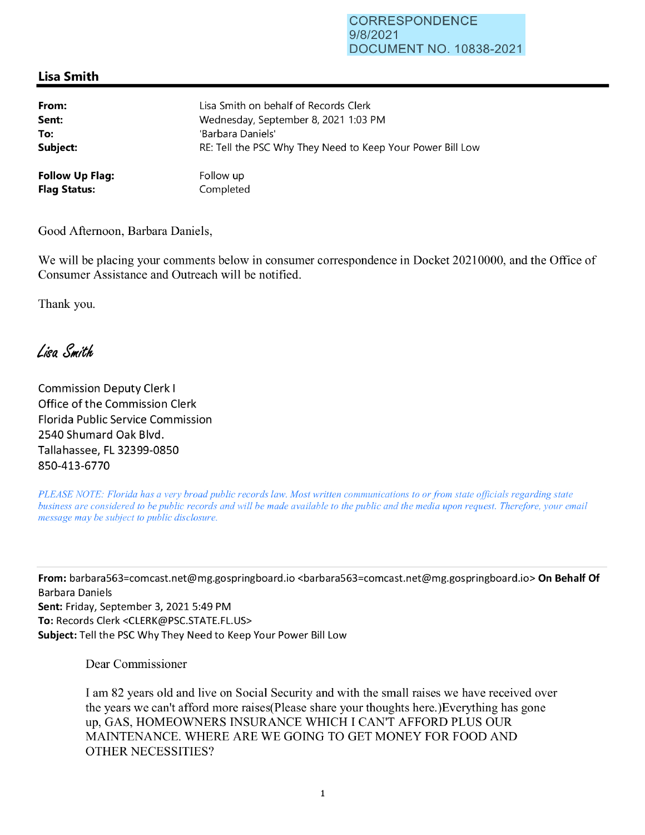## CORRESPONDENCE 9/8/2021 DOCUMENT NO. 10838-2021

## **Lisa Smith**

| From:                  | Lisa Smith on behalf of Records Clerk                      |
|------------------------|------------------------------------------------------------|
| Sent:                  | Wednesday, September 8, 2021 1:03 PM                       |
| To:                    | 'Barbara Daniels'                                          |
| Subject:               | RE: Tell the PSC Why They Need to Keep Your Power Bill Low |
| <b>Follow Up Flag:</b> | Follow up                                                  |
| <b>Flag Status:</b>    | Completed                                                  |

Good Afternoon, Barbara Daniels,

We will be placing your comments below in consumer correspondence in Docket 20210000, and the Office of Consumer Assistance and Outreach will be notified.

Thank you.

Lisa Smith

Commission Deputy Clerk I Office of the Commission Clerk Florida Public Service Commission 2540 Shumard Oak Blvd. Tallahassee, FL 32399-0850 850-413-6770

*PLEASE NOTE: Florida has a very broad public records law. Most written communications to or from state officials regarding state business are considered to be public records and will be made available to the public and the media upon request. Therefore, your email message may be subject to public disclosure.* 

**From:** barbara563=comcast.net@mg.gospringboard.io <barbara563=comcast.net@mg.gospringboard.io> **On Behalf Of**  Barbara Daniels **Sent:** Friday, September 3, 2021 5:49 PM **To:** Records Clerk <CLERK@PSC.STATE.FL.US> **Subject:** Tell the PSC Why They Need to Keep Your Power Bill Low

Dear Commissioner

I am 82 years old and live on Social Security and with the small raises we have received over the years we can't afford more raises(Please share your thoughts here.)Everything has gone up, GAS, HOMEOWNERS INSURANCE WHICH I CAN'T AFFORD PLUS OUR MAINTENANCE. WHERE ARE WE GOING TO GET MONEY FOR FOOD AND OTHER NECESSITIES?